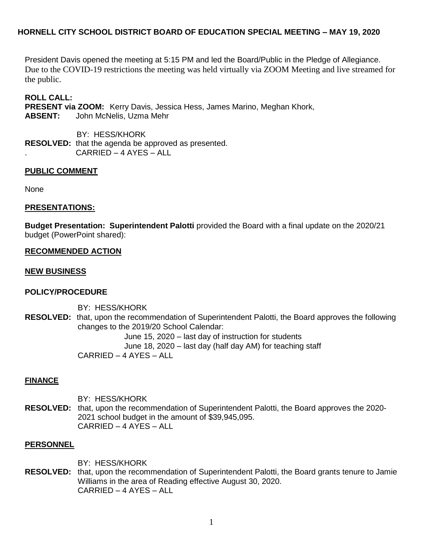# **HORNELL CITY SCHOOL DISTRICT BOARD OF EDUCATION SPECIAL MEETING – MAY 19, 2020**

President Davis opened the meeting at 5:15 PM and led the Board/Public in the Pledge of Allegiance. Due to the COVID-19 restrictions the meeting was held virtually via ZOOM Meeting and live streamed for the public.

**ROLL CALL:** 

**PRESENT via ZOOM:** Kerry Davis, Jessica Hess, James Marino, Meghan Khork, **ABSENT:** John McNelis, Uzma Mehr

 BY: HESS/KHORK **RESOLVED:** that the agenda be approved as presented. . CARRIED – 4 AYES – ALL

## **PUBLIC COMMENT**

None

## **PRESENTATIONS:**

**Budget Presentation: Superintendent Palotti** provided the Board with a final update on the 2020/21 budget (PowerPoint shared):

## **RECOMMENDED ACTION**

#### **NEW BUSINESS**

## **POLICY/PROCEDURE**

BY: HESS/KHORK **RESOLVED:** that, upon the recommendation of Superintendent Palotti, the Board approves the following changes to the 2019/20 School Calendar: June 15, 2020 – last day of instruction for students June 18, 2020 – last day (half day AM) for teaching staff CARRIED – 4 AYES – ALL

## **FINANCE**

BY: HESS/KHORK **RESOLVED:** that, upon the recommendation of Superintendent Palotti, the Board approves the 2020- 2021 school budget in the amount of \$39,945,095. CARRIED – 4 AYES – ALL

## **PERSONNEL**

BY: HESS/KHORK

**RESOLVED:** that, upon the recommendation of Superintendent Palotti, the Board grants tenure to Jamie Williams in the area of Reading effective August 30, 2020. CARRIED – 4 AYES – ALL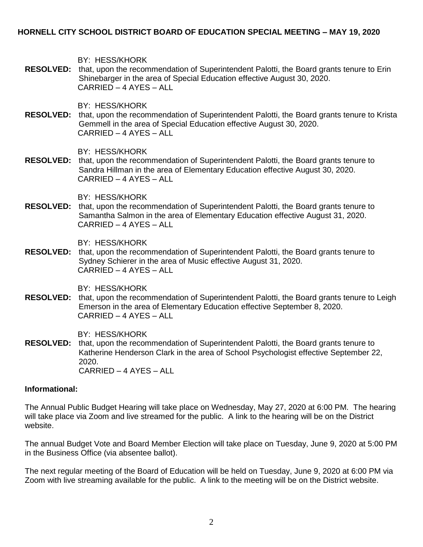## **HORNELL CITY SCHOOL DISTRICT BOARD OF EDUCATION SPECIAL MEETING – MAY 19, 2020**

BY: HESS/KHORK

**RESOLVED:** that, upon the recommendation of Superintendent Palotti, the Board grants tenure to Erin Shinebarger in the area of Special Education effective August 30, 2020. CARRIED – 4 AYES – ALL

BY: HESS/KHORK

**RESOLVED:** that, upon the recommendation of Superintendent Palotti, the Board grants tenure to Krista Gemmell in the area of Special Education effective August 30, 2020. CARRIED – 4 AYES – ALL

BY: HESS/KHORK

**RESOLVED:** that, upon the recommendation of Superintendent Palotti, the Board grants tenure to Sandra Hillman in the area of Elementary Education effective August 30, 2020. CARRIED – 4 AYES – ALL

BY: HESS/KHORK

**RESOLVED:** that, upon the recommendation of Superintendent Palotti, the Board grants tenure to Samantha Salmon in the area of Elementary Education effective August 31, 2020. CARRIED – 4 AYES – ALL

BY: HESS/KHORK

**RESOLVED:** that, upon the recommendation of Superintendent Palotti, the Board grants tenure to Sydney Schierer in the area of Music effective August 31, 2020. CARRIED – 4 AYES – ALL

BY: HESS/KHORK

**RESOLVED:** that, upon the recommendation of Superintendent Palotti, the Board grants tenure to Leigh Emerson in the area of Elementary Education effective September 8, 2020. CARRIED – 4 AYES – ALL

BY: HESS/KHORK

**RESOLVED:** that, upon the recommendation of Superintendent Palotti, the Board grants tenure to Katherine Henderson Clark in the area of School Psychologist effective September 22, 2020. CARRIED – 4 AYES – ALL

#### **Informational:**

The Annual Public Budget Hearing will take place on Wednesday, May 27, 2020 at 6:00 PM. The hearing will take place via Zoom and live streamed for the public. A link to the hearing will be on the District website.

The annual Budget Vote and Board Member Election will take place on Tuesday, June 9, 2020 at 5:00 PM in the Business Office (via absentee ballot).

The next regular meeting of the Board of Education will be held on Tuesday, June 9, 2020 at 6:00 PM via Zoom with live streaming available for the public. A link to the meeting will be on the District website.